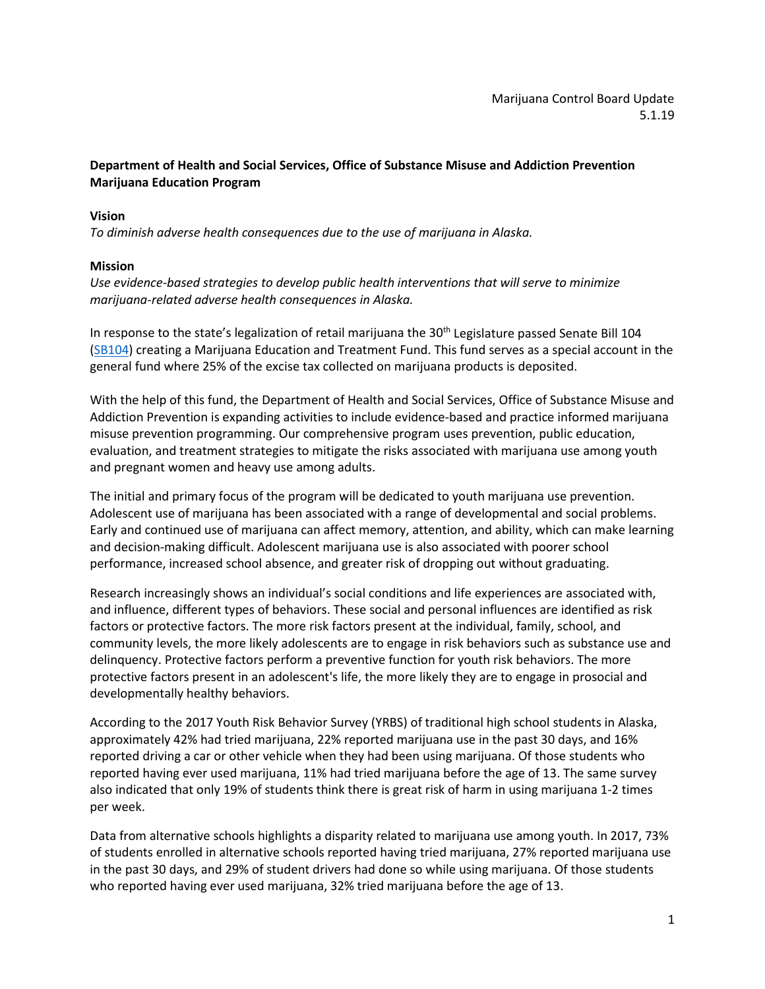# **Department of Health and Social Services, Office of Substance Misuse and Addiction Prevention Marijuana Education Program**

### **Vision**

*To diminish adverse health consequences due to the use of marijuana in Alaska.*

### **Mission**

*Use evidence-based strategies to develop public health interventions that will serve to minimize marijuana-related adverse health consequences in Alaska.*

In response to the state's legalization of retail marijuana the  $30<sup>th</sup>$  Legislature passed Senate Bill 104 [\(SB104\)](http://www.akleg.gov/basis/Bill/Text/30?Hsid=SB0104Z) creating a Marijuana Education and Treatment Fund. This fund serves as a special account in the general fund where 25% of the excise tax collected on marijuana products is deposited.

With the help of this fund, the Department of Health and Social Services, Office of Substance Misuse and Addiction Prevention is expanding activities to include evidence-based and practice informed marijuana misuse prevention programming. Our comprehensive program uses prevention, public education, evaluation, and treatment strategies to mitigate the risks associated with marijuana use among youth and pregnant women and heavy use among adults.

The initial and primary focus of the program will be dedicated to youth marijuana use prevention. Adolescent use of marijuana has been associated with a range of developmental and social problems. Early and continued use of marijuana can affect memory, attention, and ability, which can make learning and decision-making difficult. Adolescent marijuana use is also associated with poorer school performance, increased school absence, and greater risk of dropping out without graduating.

Research increasingly shows an individual's social conditions and life experiences are associated with, and influence, different types of behaviors. These social and personal influences are identified as risk factors or protective factors. The more risk factors present at the individual, family, school, and community levels, the more likely adolescents are to engage in risk behaviors such as substance use and delinquency. Protective factors perform a preventive function for youth risk behaviors. The more protective factors present in an adolescent's life, the more likely they are to engage in prosocial and developmentally healthy behaviors.

According to the 2017 Youth Risk Behavior Survey (YRBS) of traditional high school students in Alaska, approximately 42% had tried marijuana, 22% reported marijuana use in the past 30 days, and 16% reported driving a car or other vehicle when they had been using marijuana. Of those students who reported having ever used marijuana, 11% had tried marijuana before the age of 13. The same survey also indicated that only 19% of students think there is great risk of harm in using marijuana 1-2 times per week.

Data from alternative schools highlights a disparity related to marijuana use among youth. In 2017, 73% of students enrolled in alternative schools reported having tried marijuana, 27% reported marijuana use in the past 30 days, and 29% of student drivers had done so while using marijuana. Of those students who reported having ever used marijuana, 32% tried marijuana before the age of 13.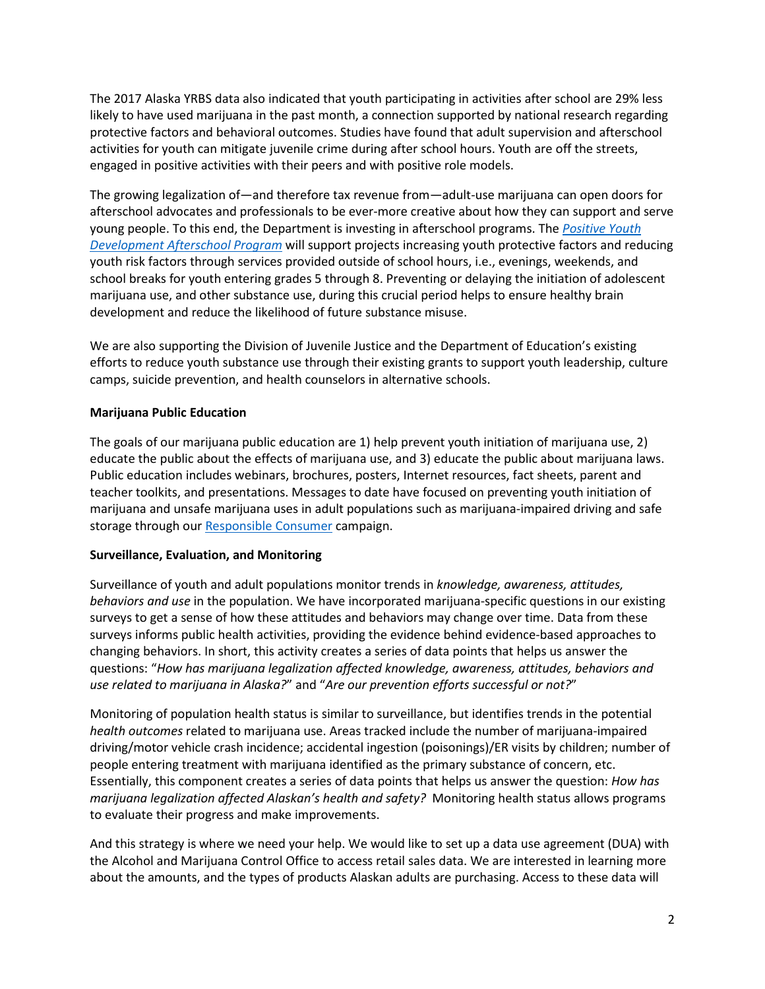The 2017 Alaska YRBS data also indicated that youth participating in activities after school are 29% less likely to have used marijuana in the past month, a connection supported by national research regarding protective factors and behavioral outcomes. Studies have found that adult supervision and afterschool activities for youth can mitigate juvenile crime during after school hours. Youth are off the streets, engaged in positive activities with their peers and with positive role models.

The growing legalization of—and therefore tax revenue from—adult-use marijuana can open doors for afterschool advocates and professionals to be ever-more creative about how they can support and serve young people. To this end, the Department is investing in afterschool programs. The *[Positive Youth](https://gems.dhss.alaska.gov/Solicitations/ShowSolicitation?entityId=fa049036-98f2-e811-a962-005056ae3c14#/a_03059036-98f2-e811-a962-005056ae3c14)  [Development Afterschool Program](https://gems.dhss.alaska.gov/Solicitations/ShowSolicitation?entityId=fa049036-98f2-e811-a962-005056ae3c14#/a_03059036-98f2-e811-a962-005056ae3c14)* will support projects increasing youth protective factors and reducing youth risk factors through services provided outside of school hours, i.e., evenings, weekends, and school breaks for youth entering grades 5 through 8. Preventing or delaying the initiation of adolescent marijuana use, and other substance use, during this crucial period helps to ensure healthy brain development and reduce the likelihood of future substance misuse.

We are also supporting the Division of Juvenile Justice and the Department of Education's existing efforts to reduce youth substance use through their existing grants to support youth leadership, culture camps, suicide prevention, and health counselors in alternative schools.

### **Marijuana Public Education**

The goals of our marijuana public education are 1) help prevent youth initiation of marijuana use, 2) educate the public about the effects of marijuana use, and 3) educate the public about marijuana laws. Public education includes webinars, brochures, posters, Internet resources, fact sheets, parent and teacher toolkits, and presentations. Messages to date have focused on preventing youth initiation of marijuana and unsafe marijuana uses in adult populations such as marijuana-impaired driving and safe storage through our [Responsible Consumer](http://dhss.alaska.gov/dph/Director/Documents/marijuana/ResponsibleConsumerFactBook.pdf) campaign.

### **Surveillance, Evaluation, and Monitoring**

Surveillance of youth and adult populations monitor trends in *knowledge, awareness, attitudes, behaviors and use* in the population. We have incorporated marijuana-specific questions in our existing surveys to get a sense of how these attitudes and behaviors may change over time. Data from these surveys informs public health activities, providing the evidence behind evidence-based approaches to changing behaviors. In short, this activity creates a series of data points that helps us answer the questions: "*How has marijuana legalization affected knowledge, awareness, attitudes, behaviors and use related to marijuana in Alaska?*" and "*Are our prevention efforts successful or not?*"

Monitoring of population health status is similar to surveillance, but identifies trends in the potential *health outcomes* related to marijuana use. Areas tracked include the number of marijuana-impaired driving/motor vehicle crash incidence; accidental ingestion (poisonings)/ER visits by children; number of people entering treatment with marijuana identified as the primary substance of concern, etc. Essentially, this component creates a series of data points that helps us answer the question: *How has marijuana legalization affected Alaskan's health and safety?* Monitoring health status allows programs to evaluate their progress and make improvements.

And this strategy is where we need your help. We would like to set up a data use agreement (DUA) with the Alcohol and Marijuana Control Office to access retail sales data. We are interested in learning more about the amounts, and the types of products Alaskan adults are purchasing. Access to these data will